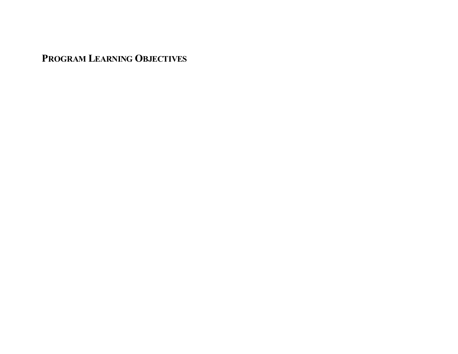**PROGRAM LEARNING OBJECTIVES**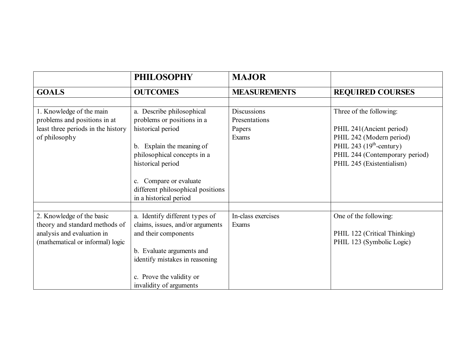|                                                                                                                               | <b>PHILOSOPHY</b>                                                                                                                                                                                                                                   | <b>MAJOR</b>                                           |                                                                                                                                                                             |
|-------------------------------------------------------------------------------------------------------------------------------|-----------------------------------------------------------------------------------------------------------------------------------------------------------------------------------------------------------------------------------------------------|--------------------------------------------------------|-----------------------------------------------------------------------------------------------------------------------------------------------------------------------------|
| <b>GOALS</b>                                                                                                                  | <b>OUTCOMES</b>                                                                                                                                                                                                                                     | <b>MEASUREMENTS</b>                                    | <b>REQUIRED COURSES</b>                                                                                                                                                     |
| 1. Knowledge of the main<br>problems and positions in at<br>least three periods in the history<br>of philosophy               | a. Describe philosophical<br>problems or positions in a<br>historical period<br>Explain the meaning of<br>$b_{-}$<br>philosophical concepts in a<br>historical period<br>Compare or evaluate<br>$\mathbf{c}$ .<br>different philosophical positions | Discussions<br>Presentations<br>Papers<br><b>Exams</b> | Three of the following:<br>PHIL 241(Ancient period)<br>PHIL 242 (Modern period)<br>PHIL 243 $(19th-century)$<br>PHIL 244 (Contemporary period)<br>PHIL 245 (Existentialism) |
| 2. Knowledge of the basic<br>theory and standard methods of<br>analysis and evaluation in<br>(mathematical or informal) logic | in a historical period<br>a. Identify different types of<br>claims, issues, and/or arguments<br>and their components<br>b. Evaluate arguments and                                                                                                   | In-class exercises<br>Exams                            | One of the following:<br>PHIL 122 (Critical Thinking)<br>PHIL 123 (Symbolic Logic)                                                                                          |
|                                                                                                                               | identify mistakes in reasoning<br>c. Prove the validity or<br>invalidity of arguments                                                                                                                                                               |                                                        |                                                                                                                                                                             |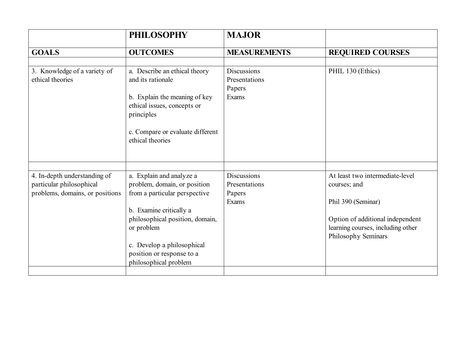|                                                                                             | <b>PHILOSOPHY</b>                                                                                                                                                                                                                                         | <b>MAJOR</b>                                           |                                                                                                                                                                       |
|---------------------------------------------------------------------------------------------|-----------------------------------------------------------------------------------------------------------------------------------------------------------------------------------------------------------------------------------------------------------|--------------------------------------------------------|-----------------------------------------------------------------------------------------------------------------------------------------------------------------------|
| <b>GOALS</b>                                                                                | <b>OUTCOMES</b>                                                                                                                                                                                                                                           | <b>MEASUREMENTS</b>                                    | <b>REQUIRED COURSES</b>                                                                                                                                               |
| 3. Knowledge of a variety of<br>ethical theories                                            | a. Describe an ethical theory<br>and its rationale<br>b. Explain the meaning of key<br>ethical issues, concepts or<br>principles<br>c. Compare or evaluate different<br>ethical theories                                                                  | <b>Discussions</b><br>Presentations<br>Papers<br>Exams | PHIL 130 (Ethics)                                                                                                                                                     |
| 4. In-depth understanding of<br>particular philosophical<br>problems, domains, or positions | a. Explain and analyze a<br>problem, domain, or position<br>from a particular perspective<br>b. Examine critically a<br>philosophical position, domain,<br>or problem<br>c. Develop a philosophical<br>position or response to a<br>philosophical problem | <b>Discussions</b><br>Presentations<br>Papers<br>Exams | At least two intermediate-level<br>courses; and<br>Phil 390 (Seminar)<br>Option of additional independent<br>learning courses, including other<br>Philosophy Seminars |